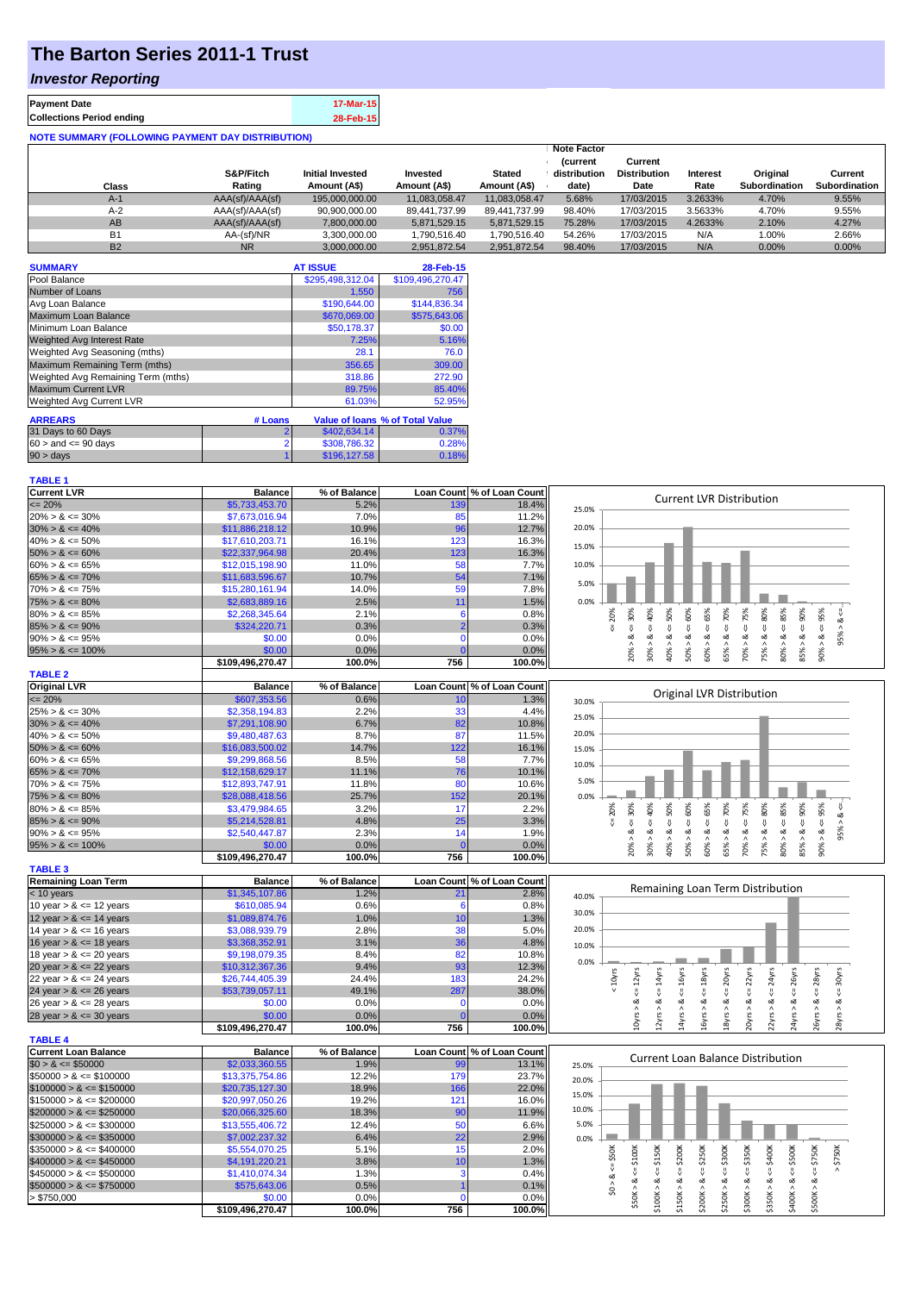# **The Barton Series 2011-1 Trust**

### *Investor Reporting*

| <b>Payment Date</b>                                      | 17-Mar-15 |  |  |  |  |
|----------------------------------------------------------|-----------|--|--|--|--|
| <b>Collections Period ending</b>                         | 28-Feb-15 |  |  |  |  |
| <b>NOTE SUMMARY (FOLLOWING PAYMENT DAY DISTRIBUTION)</b> |           |  |  |  |  |

| Class     | S&P/Fitch<br>Rating | <b>Initial Invested</b><br>Amount (A\$) | Invested<br>Amount (A\$) | <b>Stated</b><br>Amount (A\$) | <b>Note Factor</b><br><b>Current</b><br>distribution<br>date) | Current<br><b>Distribution</b><br>Date | <b>Interest</b><br>Rate | Original<br>Subordination | Current<br><b>Subordination</b> |
|-----------|---------------------|-----------------------------------------|--------------------------|-------------------------------|---------------------------------------------------------------|----------------------------------------|-------------------------|---------------------------|---------------------------------|
| $A-1$     | AAA(sf)/AAA(sf)     | 195,000,000.00                          | 11.083.058.47            | 11.083.058.47                 | 5.68%                                                         | 17/03/2015                             | 3.2633%                 | 4.70%                     | 9.55%                           |
| $A-2$     | AAA(sf)/AAA(sf)     | 90,900,000.00                           | 89,441,737.99            | 89.441.737.99                 | 98.40%                                                        | 17/03/2015                             | 3.5633%                 | 4.70%                     | 9.55%                           |
| AB        | AAA(sf)/AAA(sf)     | 7,800,000.00                            | 5,871,529.15             | 5.871.529.15                  | 75.28%                                                        | 17/03/2015                             | 4.2633%                 | 2.10%                     | 4.27%                           |
| <b>B1</b> | AA-(sf)/NR          | 3,300,000.00                            | 1.790.516.40             | 1.790.516.40                  | 54.26%                                                        | 17/03/2015                             | N/A                     | 1.00%                     | 2.66%                           |
| <b>B2</b> | <b>NR</b>           | 3,000,000.00                            | 2,951,872.54             | 2,951,872.54                  | 98.40%                                                        | 17/03/2015                             | N/A                     | 0.00%                     | 0.00%                           |

| <b>SUMMARY</b>                     |         | <b>AT ISSUE</b>  | 28-Feb-15                       |
|------------------------------------|---------|------------------|---------------------------------|
| Pool Balance                       |         | \$295,498,312.04 | \$109,496,270.47                |
| Number of Loans                    |         | 1.550            | 756                             |
| Avg Loan Balance                   |         | \$190,644.00     | \$144.836.34                    |
| <b>Maximum Loan Balance</b>        |         | \$670,069.00     | \$575,643.06                    |
| Minimum Loan Balance               |         | \$50,178.37      | \$0.00                          |
| <b>Weighted Avg Interest Rate</b>  |         | 7.25%            | 5.16%                           |
| Weighted Avg Seasoning (mths)      |         | 28.1             | 76.0                            |
| Maximum Remaining Term (mths)      |         | 356.65           | 309.00                          |
| Weighted Avg Remaining Term (mths) |         | 318.86           | 272.90                          |
| <b>Maximum Current LVR</b>         |         | 89.75%           | 85.40%                          |
| <b>Weighted Avg Current LVR</b>    |         | 61.03%           | 52.95%                          |
| <b>ARREARS</b>                     | # Loans |                  | Value of Ioans % of Total Value |
| 31 Days to 60 Days                 |         | \$402,634.14     | 0.37%                           |
| $60 >$ and $\leq 90$ days          |         | \$308,786.32     | 0.28%                           |
| $90 > \text{days}$                 |         | \$196,127.58     | 0.18%                           |

## **TABLE 1**

| <b>Current LVR</b>          | <b>Balance</b>             | % of Balance   |          | Loan Count % of Loan Count |       |                                                                                                                                                                                                                                |
|-----------------------------|----------------------------|----------------|----------|----------------------------|-------|--------------------------------------------------------------------------------------------------------------------------------------------------------------------------------------------------------------------------------|
| $= 20%$                     | \$5,733,453.70             | 5.2%           | 139      | 18.4%                      | 25.0% | <b>Current LVR Distribution</b>                                                                                                                                                                                                |
| $20\% > 8 \le 30\%$         | \$7,673,016.94             | 7.0%           | 85       | 11.2%                      |       |                                                                                                                                                                                                                                |
| $30\% > 8 \le 40\%$         | \$11,886,218.12            | 10.9%          | 96       | 12.7%                      | 20.0% |                                                                                                                                                                                                                                |
| $40\% > 8 \le 50\%$         | \$17,610,203.71            | 16.1%          | 123      | 16.3%                      |       |                                                                                                                                                                                                                                |
| $50\% > 8 \le 60\%$         | \$22,337,964.98            | 20.4%          | 123      | 16.3%                      | 15.0% |                                                                                                                                                                                                                                |
| $60\% > 8 \le 65\%$         | \$12,015,198.90            | 11.0%          | 58       | 7.7%                       | 10.0% |                                                                                                                                                                                                                                |
| $65\% > 8 \le 70\%$         | \$11,683,596.67            | 10.7%          | 54       | 7.1%                       |       |                                                                                                                                                                                                                                |
| $70\% > 8 \le 75\%$         | \$15,280,161.94            | 14.0%          | 59       | 7.8%                       | 5.0%  |                                                                                                                                                                                                                                |
| $75\% > 8 \le 80\%$         | \$2,683,889.16             | 2.5%           | 11       | 1.5%                       | 0.0%  |                                                                                                                                                                                                                                |
| $80\% > 8 \le 85\%$         | \$2,268,345.64             | 2.1%           | 6        | 0.8%                       |       |                                                                                                                                                                                                                                |
| $85\% > 8 \le 90\%$         | \$324,220.71               | 0.3%           |          | 0.3%                       |       | $70\% > 8 <= 75\%$<br>$\epsilon = 70\%$<br>$75\% > 8 \leq 80\%$<br>$\leq 85\%$<br>$85\% > 8 \leq 90\%$<br>$4 = 20\%$<br>$<=30%$<br>$<=$ 50%<br>$> 8 < 60\%$<br>$4 = 65%$<br>$90\% > 8 \le 95\%$<br>40%<br>$95\% > 8 \le$       |
| $90\% > 8 \le 95\%$         | \$0.00                     | 0.0%           | $\Omega$ | 0.0%                       |       | ઌ<br>ઌ                                                                                                                                                                                                                         |
| $95\% > 8 \le 100\%$        | \$0.00                     | 0.0%           |          | 0.0%                       |       | 30% > 8.<br>60% > 8.<br>80% > 8<br>$\lambda$<br>65% ><br>40% >                                                                                                                                                                 |
|                             | \$109,496,270.47           | 100.0%         | 756      | 100.0%                     |       | 20%<br>50%                                                                                                                                                                                                                     |
| <b>TABLE 2</b>              |                            |                |          |                            |       |                                                                                                                                                                                                                                |
| <b>Original LVR</b>         | <b>Balance</b>             | % of Balance   |          | Loan Count % of Loan Count |       |                                                                                                                                                                                                                                |
| $\leq$ 20%                  | \$607,353.56               | 0.6%           |          | 1.3%                       |       | Original LVR Distribution                                                                                                                                                                                                      |
|                             | \$2,358,194.83             | 2.2%           | 10<br>33 | 4.4%                       | 30.0% |                                                                                                                                                                                                                                |
| $25\% > 8 \le 30\%$         |                            |                |          |                            | 25.0% |                                                                                                                                                                                                                                |
| $30\% > 8 \le 40\%$         | \$7,291,108.90             | 6.7%           | 82       | 10.8%                      | 20.0% |                                                                                                                                                                                                                                |
| $40\% > 8 \le 50\%$         | \$9,480,487.63             | 8.7%           | 87       | 11.5%                      |       |                                                                                                                                                                                                                                |
| $50\% > 8 \le 60\%$         | \$16,083,500.02            | 14.7%          | 122      | 16.1%                      | 15.0% |                                                                                                                                                                                                                                |
| $60\% > 8 \le 65\%$         | \$9,299,868.56             | 8.5%           | 58       | 7.7%                       | 10.0% |                                                                                                                                                                                                                                |
| $65\% > 8 \le 70\%$         | \$12,158,629.17            | 11.1%          | 76       | 10.1%                      | 5.0%  |                                                                                                                                                                                                                                |
| $70\% > 8 \le 75\%$         | \$12,893,747.91            | 11.8%          | 80       | 10.6%                      |       |                                                                                                                                                                                                                                |
| $75\% > 8 \le 80\%$         | \$28,088,418.56            | 25.7%          | 152      | 20.1%                      | 0.0%  |                                                                                                                                                                                                                                |
| $80\% > 8 \le 85\%$         | \$3,479,984.65             | 3.2%           | 17       | 2.2%                       |       | $> 8 < 30\%$<br>$5 = 20%$                                                                                                                                                                                                      |
| $85\% > 8 \le 90\%$         | \$5,214,528.81             | 4.8%           | 25       | 3.3%                       |       | 95% > 8.                                                                                                                                                                                                                       |
| $90\% > 8 \le 95\%$         | \$2,540,447.87             | 2.3%           | 14       | 1.9%                       |       |                                                                                                                                                                                                                                |
| $95\% > 8 \le 100\%$        | \$0.00                     | 0.0%           |          | 0.0%                       |       | $85% > 8 < = 90%$<br>$50\% > 8 <= 60\%$<br>$70\% > 8 <= 75\%$<br>$80\% > 8 <= 85\%$<br>$-855\% > 8 < 0.06$<br>$40\% > 8 <= 50\%$<br>$65% > 8 < = 70%$<br>$75\% > 8 <= 80\%$<br>$-30\% > 8 < 40\%$<br>$60\% > 8 <= 65\%$<br>20% |
|                             | \$109,496,270.47           | 100.0%         | 756      | 100.0%                     |       |                                                                                                                                                                                                                                |
| <b>TABLE 3</b>              |                            |                |          |                            |       |                                                                                                                                                                                                                                |
| <b>Remaining Loan Term</b>  | <b>Balance</b>             | % of Balance   |          | Loan Count % of Loan Count |       | Remaining Loan Term Distribution                                                                                                                                                                                               |
| $<$ 10 years                | \$1,345,107.86             | 1.2%           | 21       | 2.8%                       | 40.0% |                                                                                                                                                                                                                                |
| 10 year $> 8 \le 12$ years  | \$610,085.94               | 0.6%           | 6        | 0.8%                       | 30.0% |                                                                                                                                                                                                                                |
| 12 year $> 8 \le 14$ years  | \$1,089,874.76             | 1.0%           | 10       | 1.3%                       |       |                                                                                                                                                                                                                                |
| 14 year $> 8 \le 16$ years  | \$3,088,939.79             | 2.8%           | 38       | 5.0%                       | 20.0% |                                                                                                                                                                                                                                |
| 16 year $> 8 \le 18$ years  | \$3,368,352.91             | 3.1%           | 36       | 4.8%                       | 10.0% |                                                                                                                                                                                                                                |
| 18 year $> 8 \le 20$ years  | \$9,198,079.35             | 8.4%           | 82       | 10.8%                      |       |                                                                                                                                                                                                                                |
| 20 year $> 8 \le 22$ years  | \$10,312,367.36            | 9.4%           | 93       | 12.3%                      | 0.0%  |                                                                                                                                                                                                                                |
| 22 year $> 8 \le 24$ years  | \$26,744,405.39            | 24.4%          | 183      | 24.2%                      |       | $22\gamma$ rs<br>< 10yrs<br>$\leq 16$ yrs<br>20yrs<br>24yrs<br>26yrs<br>28yrs<br>30yrs                                                                                                                                         |
| 24 year $> 8 \le 26$ years  | \$53,739,057.11            | 49.1%          | 287      | 38.0%                      |       | $\leq 14$ yrs<br>$\leq 18$ yrs<br>IJ.<br>₹.<br>쁬<br>IJ,<br>V<br>쁬                                                                                                                                                              |
| 26 year $> 8 \le 28$ years  | \$0.00                     | 0.0%           | $\Omega$ | 0.0%                       |       | ઌ<br>∞<br>ಷ<br>ઌ<br>œ<br>ಹ<br>œ                                                                                                                                                                                                |
| 28 year $> 8 \le 30$ years  | \$0.00                     | 0.0%           |          | 0.0%                       |       | $10yrs > 8 <= 12yrs$<br>$12\gamma$ rs > &<br>18yrs > 8<br>14yrs<br>16yrs<br>$20$ yrs ><br>$22\gamma rs$<br>26yrs ><br>24yrs >                                                                                                  |
|                             | \$109,496,270.47           | 100.0%         | 756      | 100.0%                     |       |                                                                                                                                                                                                                                |
| <b>TABLE 4</b>              |                            |                |          |                            |       |                                                                                                                                                                                                                                |
| <b>Current Loan Balance</b> | <b>Balance</b>             | % of Balance   |          | Loan Count % of Loan Count |       |                                                                                                                                                                                                                                |
| $$0 > 8 \leq $50000$        | \$2,033,360.55             | 1.9%           | 99       | 13.1%                      | 25.0% | <b>Current Loan Balance Distribution</b>                                                                                                                                                                                       |
| $$50000 > 8 \le $100000$    | \$13,375,754.86            | 12.2%          | 179      | 23.7%                      | 20.0% |                                                                                                                                                                                                                                |
| $$100000 > 8 \leq $150000$  | \$20,735,127.30            | 18.9%          | 166      | 22.0%                      |       |                                                                                                                                                                                                                                |
| $$150000 > 8 \leq $200000$  | \$20,997,050.26            | 19.2%          | 121      | 16.0%                      | 15.0% |                                                                                                                                                                                                                                |
| $$200000 > 8 \leq $250000$  | \$20,066,325.60            | 18.3%          | 90       | 11.9%                      | 10.0% |                                                                                                                                                                                                                                |
| $$250000 > 8 \leq $300000$  | \$13,555,406.72            | 12.4%          | 50       | 6.6%                       | 5.0%  |                                                                                                                                                                                                                                |
| $$300000 > 8 \leq $350000$  | \$7,002,237.32             | 6.4%           | 22       | 2.9%                       | 0.0%  |                                                                                                                                                                                                                                |
| $$350000 > 8 \leq $400000$  | \$5,554,070.25             | 5.1%           | 15       | 2.0%                       |       |                                                                                                                                                                                                                                |
| $$400000 > 8 \leq $450000$  | \$4,191,220.21             | 3.8%           | 10       | 1.3%                       |       | $4 = $400K$<br>$4 = $500K$<br>$4 = $200K$<br>$<=$ \$250 $K$<br>$-5300K$<br>$4 = $350K$<br>\$750K<br>$\le$ \$50K                                                                                                                |
| $$450000 > 8 \leq $500000$  | \$1,410,074.34             | 1.3%           | 3        | 0.4%                       |       | $4 = $100K$<br>$4 = $150K$<br>$4 = $750K$<br>₩                                                                                                                                                                                 |
|                             |                            |                |          |                            |       | ઌ                                                                                                                                                                                                                              |
|                             |                            |                |          |                            |       |                                                                                                                                                                                                                                |
| $$500000 > 8 \leq $750000$  | \$575,643.06               | 0.5%           | $\Omega$ | 0.1%                       |       | $\frac{1}{2}$                                                                                                                                                                                                                  |
| > \$750,000                 | \$0.00<br>\$109,496,270.47 | 0.0%<br>100.0% | 756      | 0.0%<br>100.0%             |       | \$50K > 8<br>\$100K > 8<br>\$500K > 8<br>\$400K > 8<br>\$150K > 8<br>\$200K > 8<br>\$250K > 8<br>\$300K > 8<br>\$350K > 8                                                                                                      |